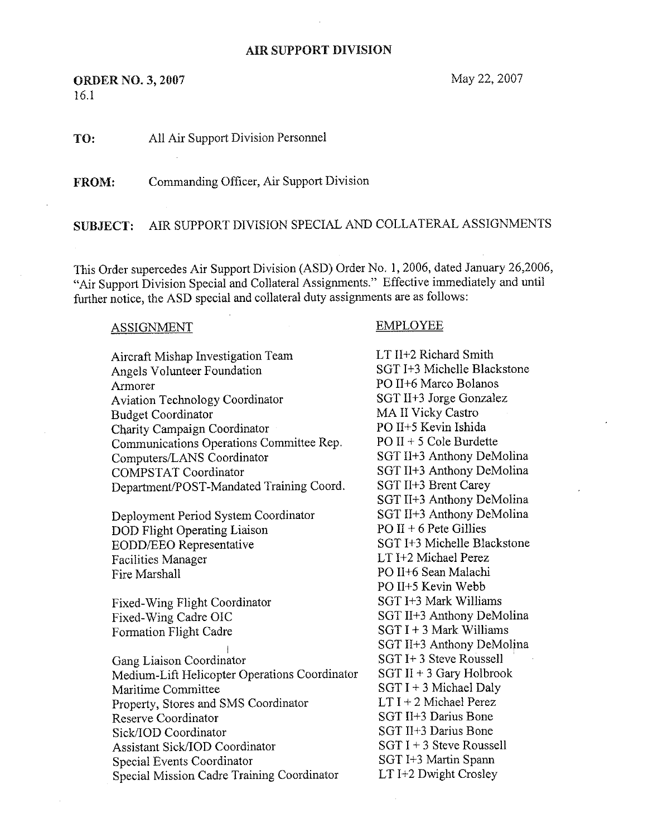## **AIR SUPPORT DIVISION**

**ORDER NO. 3, 2007** May 22, 2007 16.1

TO: All Air Support Division Personnel

FROM: Commanding Officer, Air Support Division

SUBJECT: AIR SUPPORT DIVISION SPECIAL AND COLLATERAL ASSIGNMENTS

This Order supercedes Air Support Division (ASD} Order No. 1, 2006, dated 3anuary 26,2006, "Air Support Division Special and Collateral Assignments." Effective immediately and until further notice, the ASD special and collateral duty assignments are as follows:

## ASSIGNMENT EMPLOYEE

Aircraft Mishap Investigation Team LT II+2 Richard Smith<br>Angels Volunteer Foundation SGT I+3 Michelle Blackstone Angels Volunteer Foundation Armorer<br>
Aviation Technology Coordinator<br>
Aviation Technology Coordinator<br>
SGT II+3 Jorge Gonzalez Aviation Technology Coordinator SGT II+3 Jorge Gon<br>Rudget Coordinator MA II Vicky Castro Budget Coordinator MA II Vicky Castro<br>
Charity Campaign Coordinator<br>
PO II+5 Kevin Ishida Charity Campaign Coordinator<br>
Communications Operations Committee Rep. PO II + 5 Cole Burdette Communications Operations Committee Rep. PO II + 5 Cole Burdette<br>Commuters/LANS Coordinator SGT II+3 Anthony DeMolina Computers/LANS Coordinator<br>COMPSTAT Coordinator Department/POST-Mandated Training Coord.

Deployment Period System Coordinator SGT II+3 Anthony De<br>
DOD Flight Operating Liaison<br>
PO II + 6 Pete Gillies DOD Flight Operating Liaison<br>
FO II + 6 Pete Gillies<br>
SGT I+3 Michelle Blackstone EODD/EEO Representative SGT I+3 Michelle Blackstone SGT I+3 Michelle Blackstone SGT I+2 Michael Perez Facilities Manager Fire Marshall PO II+6 Sean Malachi

Fixed-Wing Flight Coordinator SGT I+3 Mark Williams<br>Fixed-Wing Cadre OIC SGT II+3 Anthony DeM Formation Flight Cadre

Gang Liaison Coordinator<br>Medium-Lift Helicopter Operations Coordinator SGT II + 3 Gary Holbrook Medium-Lift Helicopter Operations Coordinator<br>Maritime Committee Property, Stores and SMS Coordinator<br>Reserve Coordinator Sick/IOD Coordinator<br>
Assistant Sick/IOD Coordinator<br>
SGT I + 3 Steve Roussell Assistant Sick/IOD Coordinator SGT I + 3 Steve Rousse<br>
Secial Events Coordinator SGT I + 3 Martin Spann Special Events Coordinator SGT I+3 Martin Spann<br>Special Mission Cadre Training Coordinator LT I+2 Dwight Crosley Special Mission Cadre Training Coordinator

SGT II+3 Anthony DeMolina<br>SGT II+3 Brent Carey SGT II+3 Anthony DeMolina<br>SGT II+3 Anthony DeMolina PO II+S Kevin Webb SGT II+3 Anthony DeMolina<br>SGT I + 3 Mark Williams SGT II+3 Anthony DeMolina SGT I + 3 Michael Daly<br>LT I + 2 Michael Perez SGT II+3 Darius Bone<br>SGT II+3 Darius Bone